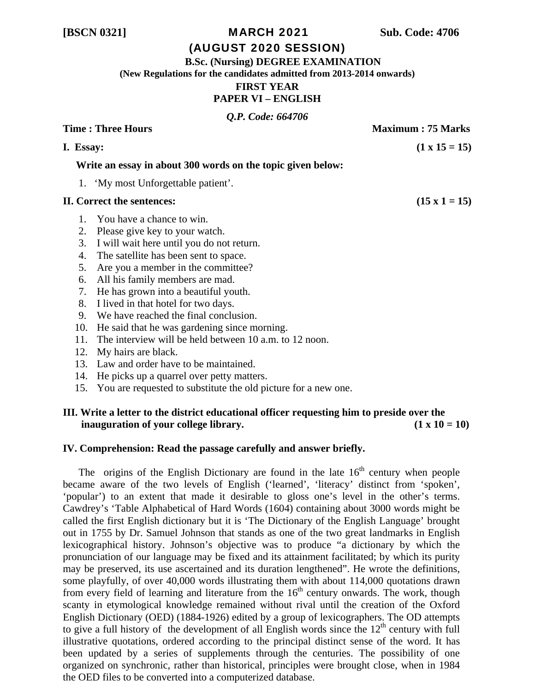## **[BSCN 0321]** MARCH 2021 **Sub. Code: 4706**

# (AUGUST 2020 SESSION)

 **B.Sc. (Nursing) DEGREE EXAMINATION** 

**(New Regulations for the candidates admitted from 2013-2014 onwards)** 

## **FIRST YEAR**

# **PAPER VI – ENGLISH**

*Q.P. Code: 664706* 

| <b>Time: Three Hours</b> |           |                                                             | <b>Maximum: 75 Marks</b> |
|--------------------------|-----------|-------------------------------------------------------------|--------------------------|
|                          | I. Essay: |                                                             | $(1 \times 15 = 15)$     |
|                          |           | Write an essay in about 300 words on the topic given below: |                          |
|                          |           | 1. 'My most Unforgettable patient'.                         |                          |
|                          |           | II. Correct the sentences:                                  | $(15 \times 1 = 15)$     |
|                          |           | 1. You have a chance to win.                                |                          |
|                          | 2.        | Please give key to your watch.                              |                          |
|                          | 3.        | I will wait here until you do not return.                   |                          |
|                          | 4.        | The satellite has been sent to space.                       |                          |
|                          | 5.        | Are you a member in the committee?                          |                          |
|                          | 6.        | All his family members are mad.                             |                          |
|                          | 7.        | He has grown into a beautiful youth.                        |                          |

- 8. I lived in that hotel for two days.
- 9. We have reached the final conclusion.
- 10. He said that he was gardening since morning.
- 11. The interview will be held between 10 a.m. to 12 noon.
- 12. My hairs are black.
- 13. Law and order have to be maintained.
- 14. He picks up a quarrel over petty matters.
- 15. You are requested to substitute the old picture for a new one.

# **III. Write a letter to the district educational officer requesting him to preside over the inauguration of your college library.** (1 x 10 = 10)

## **IV. Comprehension: Read the passage carefully and answer briefly.**

The origins of the English Dictionary are found in the late  $16<sup>th</sup>$  century when people became aware of the two levels of English ('learned', 'literacy' distinct from 'spoken', 'popular') to an extent that made it desirable to gloss one's level in the other's terms. Cawdrey's 'Table Alphabetical of Hard Words (1604) containing about 3000 words might be called the first English dictionary but it is 'The Dictionary of the English Language' brought out in 1755 by Dr. Samuel Johnson that stands as one of the two great landmarks in English lexicographical history. Johnson's objective was to produce "a dictionary by which the pronunciation of our language may be fixed and its attainment facilitated; by which its purity may be preserved, its use ascertained and its duration lengthened". He wrote the definitions, some playfully, of over 40,000 words illustrating them with about 114,000 quotations drawn from every field of learning and literature from the  $16<sup>th</sup>$  century onwards. The work, though scanty in etymological knowledge remained without rival until the creation of the Oxford English Dictionary (OED) (1884-1926) edited by a group of lexicographers. The OD attempts to give a full history of the development of all English words since the  $12<sup>th</sup>$  century with full illustrative quotations, ordered according to the principal distinct sense of the word. It has been updated by a series of supplements through the centuries. The possibility of one organized on synchronic, rather than historical, principles were brought close, when in 1984 the OED files to be converted into a computerized database.